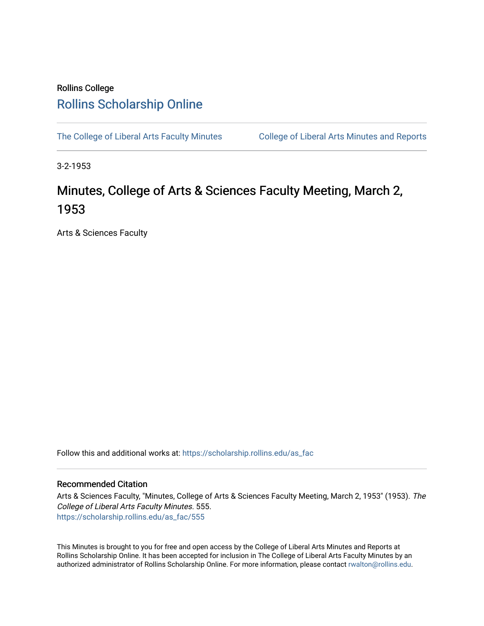## Rollins College [Rollins Scholarship Online](https://scholarship.rollins.edu/)

[The College of Liberal Arts Faculty Minutes](https://scholarship.rollins.edu/as_fac) College of Liberal Arts Minutes and Reports

3-2-1953

## Minutes, College of Arts & Sciences Faculty Meeting, March 2, 1953

Arts & Sciences Faculty

Follow this and additional works at: [https://scholarship.rollins.edu/as\\_fac](https://scholarship.rollins.edu/as_fac?utm_source=scholarship.rollins.edu%2Fas_fac%2F555&utm_medium=PDF&utm_campaign=PDFCoverPages) 

## Recommended Citation

Arts & Sciences Faculty, "Minutes, College of Arts & Sciences Faculty Meeting, March 2, 1953" (1953). The College of Liberal Arts Faculty Minutes. 555. [https://scholarship.rollins.edu/as\\_fac/555](https://scholarship.rollins.edu/as_fac/555?utm_source=scholarship.rollins.edu%2Fas_fac%2F555&utm_medium=PDF&utm_campaign=PDFCoverPages) 

This Minutes is brought to you for free and open access by the College of Liberal Arts Minutes and Reports at Rollins Scholarship Online. It has been accepted for inclusion in The College of Liberal Arts Faculty Minutes by an authorized administrator of Rollins Scholarship Online. For more information, please contact [rwalton@rollins.edu](mailto:rwalton@rollins.edu).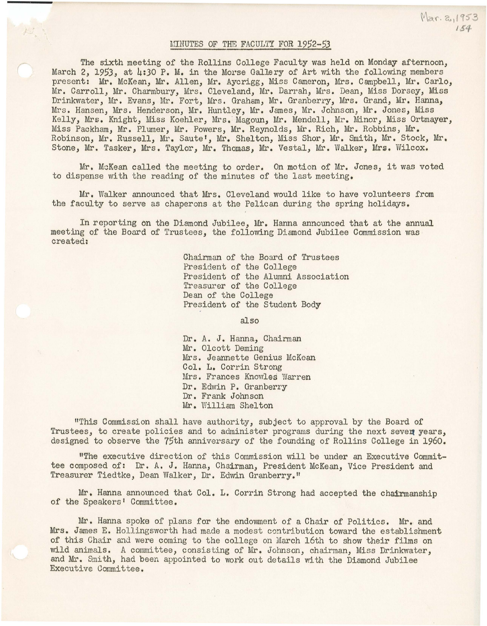## MINUTES OF THE FACULTY FOR 1952-53

Mar. 2,1953

The sixth meeting of the Rollins College Faculty was held on Monday afternoon, March 2, 1953, at 4:30 P. M. in the Morse Gallery of Art with the following members present: Mr. McKean, Mr. Allen, Mr. Aycrigg, Miss Cameron, Mrs. Campbell, Mr. Carlo, Mr. Carroll, Mr. Charmbury, Mrs. Cleveland, Mr. Darrah, Mrs. Dean, Miss Dorsey, Miss Drinkwater, Mr. Evans, Mr. Fort, Mrs. Graham, Mr. Granberry, Mrs. Grand, Mr. Hanna, Mrs. Hansen, Mrs. Henderson, Mr. Huntley, Mr. James, Mr. Johnson, Mr. Jones, Miss Kelly, Mrs. Knight, Miss Koehler, Mrs. Magoun, Mr. Mendell, Mr. Minor, Miss Ortmayer, Miss Packham, Mr. Plumer, Mr. Powers, Mr. Reynolds, Mr. Rich, Mr. Robbins, Mr. Robinson, Mr. Russell, Mr. Saute', Mr. Shelton, Miss Shor, Mr. Smith, Mr. Stock, Mr. Stone, Mr. Tasker, Mrs. Taylor, Mr. Thomas, Mr. Vestal, Mr. Walker, Mrs. Wilcox.

Mr. McKean called the meeting to order. On motion of Mr. Jones, it was voted to dispense with the reading of the minutes of the last meeting.

Mr. Walker announced that Mrs. Cleveland would like to have volunteers from the faculty to serve as chaperons at the Pelican during the spring holidays.

In reporting on the Diamond Jubilee, Mr. Hanna announced that at the annual meeting of the Board of Trustees, the following Diamond Jubilee Commission was created:

> Chairman of the Board of Trustees President of the College President of the Alumni Association Treasurer of the College Dean of the College President of the Student Body

> > also

Dr. A. J. Hanna, Chairman Mr. Olcott Deming Mrs. Jeannette Genius McKean Col. L. Corrin Strong Mrs. Frances Knowles Warren Dr. Edwin P. Granberry Dr. Frank Johnson Mr. William Shelton

"This Commission shall have authority, subject to approval by the Board of Trustees, to create policies and to administer programs during the next seven years, designed to observe the 75th anniversary of the founding of Rollins College in 1960.

11The executive direction of this Commission will be under an Executive Committee composed of: Dr. A. J. Hanna, Chairman, President McKean, Vice President and Treasurer Tiedtke, Dean Walker, Dr. Edwin Granberry."

Mr. Hanna announced that Col. L. Corrin Strong had accepted the chairmanship of the Speakers' Committee.

Mr. Hanna spoke of plans for the endowment of a Chair of Politics. Mr. and Mrs. James E. Hollingsworth had made a modest contribution toward the establishment of this Chair and were coming to the college on March 16th to show their films on wild animals. A committee, consisting of Mr. Johnson, chairman, Miss Drinkwater, and Mr. Smith, had been appointed to work out details with the Diamond Jubilee Executive Committee.